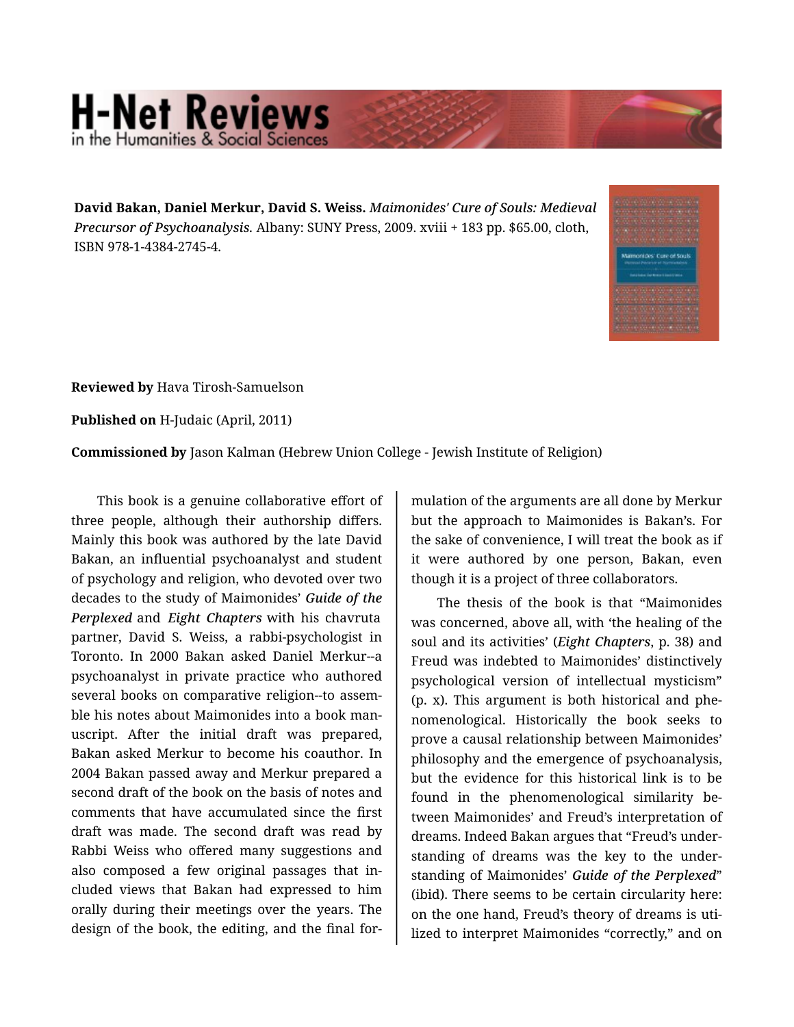## **H-Net Reviews** in the Humanities & Social Scie

**David Bakan, Daniel Merkur, David S. Weiss.** *Maimonides' Cure of Souls: Medieval Precursor of Psychoanalysis.* Albany: SUNY Press, 2009. xviii + 183 pp. \$65.00, cloth, ISBN 978-1-4384-2745-4.



**Reviewed by** Hava Tirosh-Samuelson

**Published on** H-Judaic (April, 2011)

**Commissioned by** Jason Kalman (Hebrew Union College - Jewish Institute of Religion)

This book is a genuine collaborative effort of three people, although their authorship differs. Mainly this book was authored by the late David Bakan, an influential psychoanalyst and student of psychology and religion, who devoted over two decades to the study of Maimonides' *Guide of the Perplexed* and *Eight Chapters* with his chavruta partner, David S. Weiss, a rabbi-psychologist in Toronto. In 2000 Bakan asked Daniel Merkur--a psychoanalyst in private practice who authored several books on comparative religion--to assem‐ ble his notes about Maimonides into a book man‐ uscript. After the initial draft was prepared, Bakan asked Merkur to become his coauthor. In 2004 Bakan passed away and Merkur prepared a second draft of the book on the basis of notes and comments that have accumulated since the first draft was made. The second draft was read by Rabbi Weiss who offered many suggestions and also composed a few original passages that in‐ cluded views that Bakan had expressed to him orally during their meetings over the years. The design of the book, the editing, and the final for‐

mulation of the arguments are all done by Merkur but the approach to Maimonides is Bakan's. For the sake of convenience, I will treat the book as if it were authored by one person, Bakan, even though it is a project of three collaborators.

The thesis of the book is that "Maimonides was concerned, above all, with 'the healing of the soul and its activities' (*Eight Chapters*, p. 38) and Freud was indebted to Maimonides' distinctively psychological version of intellectual mysticism" (p. x). This argument is both historical and phe‐ nomenological. Historically the book seeks to prove a causal relationship between Maimonides' philosophy and the emergence of psychoanalysis, but the evidence for this historical link is to be found in the phenomenological similarity between Maimonides' and Freud's interpretation of dreams. Indeed Bakan argues that "Freud's under‐ standing of dreams was the key to the under‐ standing of Maimonides' *Guide of the Perplexed*" (ibid). There seems to be certain circularity here: on the one hand, Freud's theory of dreams is uti‐ lized to interpret Maimonides "correctly," and on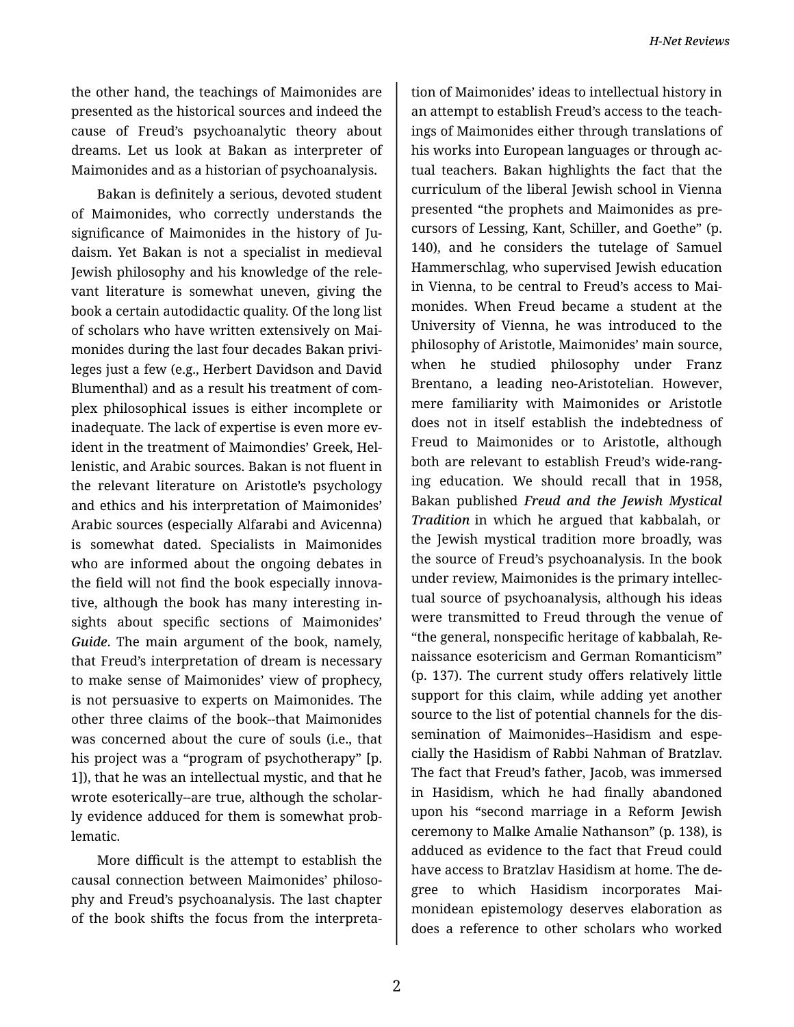the other hand, the teachings of Maimonides are presented as the historical sources and indeed the cause of Freud's psychoanalytic theory about dreams. Let us look at Bakan as interpreter of Maimonides and as a historian of psychoanalysis.

Bakan is definitely a serious, devoted student of Maimonides, who correctly understands the significance of Maimonides in the history of Ju‐ daism. Yet Bakan is not a specialist in medieval Jewish philosophy and his knowledge of the rele‐ vant literature is somewhat uneven, giving the book a certain autodidactic quality. Of the long list of scholars who have written extensively on Mai‐ monides during the last four decades Bakan privi‐ leges just a few (e.g., Herbert Davidson and David Blumenthal) and as a result his treatment of com‐ plex philosophical issues is either incomplete or inadequate. The lack of expertise is even more evident in the treatment of Maimondies' Greek, Hel‐ lenistic, and Arabic sources. Bakan is not fluent in the relevant literature on Aristotle's psychology and ethics and his interpretation of Maimonides' Arabic sources (especially Alfarabi and Avicenna) is somewhat dated. Specialists in Maimonides who are informed about the ongoing debates in the field will not find the book especially innova‐ tive, although the book has many interesting in‐ sights about specific sections of Maimonides' *Guide*. The main argument of the book, namely, that Freud's interpretation of dream is necessary to make sense of Maimonides' view of prophecy, is not persuasive to experts on Maimonides. The other three claims of the book--that Maimonides was concerned about the cure of souls (i.e., that his project was a "program of psychotherapy" [p. 1]), that he was an intellectual mystic, and that he wrote esoterically--are true, although the scholar‐ ly evidence adduced for them is somewhat prob‐ lematic.

More difficult is the attempt to establish the causal connection between Maimonides' philoso‐ phy and Freud's psychoanalysis. The last chapter of the book shifts the focus from the interpreta‐

tion of Maimonides' ideas to intellectual history in an attempt to establish Freud's access to the teach‐ ings of Maimonides either through translations of his works into European languages or through ac‐ tual teachers. Bakan highlights the fact that the curriculum of the liberal Jewish school in Vienna presented "the prophets and Maimonides as pre‐ cursors of Lessing, Kant, Schiller, and Goethe" (p. 140), and he considers the tutelage of Samuel Hammerschlag, who supervised Jewish education in Vienna, to be central to Freud's access to Mai‐ monides. When Freud became a student at the University of Vienna, he was introduced to the philosophy of Aristotle, Maimonides' main source, when he studied philosophy under Franz Brentano, a leading neo-Aristotelian. However, mere familiarity with Maimonides or Aristotle does not in itself establish the indebtedness of Freud to Maimonides or to Aristotle, although both are relevant to establish Freud's wide-rang‐ ing education. We should recall that in 1958, Bakan published *Freud and the Jewish Mystical Tradition* in which he argued that kabbalah, or the Jewish mystical tradition more broadly, was the source of Freud's psychoanalysis. In the book under review, Maimonides is the primary intellec‐ tual source of psychoanalysis, although his ideas were transmitted to Freud through the venue of "the general, nonspecific heritage of kabbalah, Re‐ naissance esotericism and German Romanticism" (p. 137). The current study offers relatively little support for this claim, while adding yet another source to the list of potential channels for the dis‐ semination of Maimonides--Hasidism and espe‐ cially the Hasidism of Rabbi Nahman of Bratzlav. The fact that Freud's father, Jacob, was immersed in Hasidism, which he had finally abandoned upon his "second marriage in a Reform Jewish ceremony to Malke Amalie Nathanson" (p. 138), is adduced as evidence to the fact that Freud could have access to Bratzlav Hasidism at home. The de‐ gree to which Hasidism incorporates Mai‐ monidean epistemology deserves elaboration as does a reference to other scholars who worked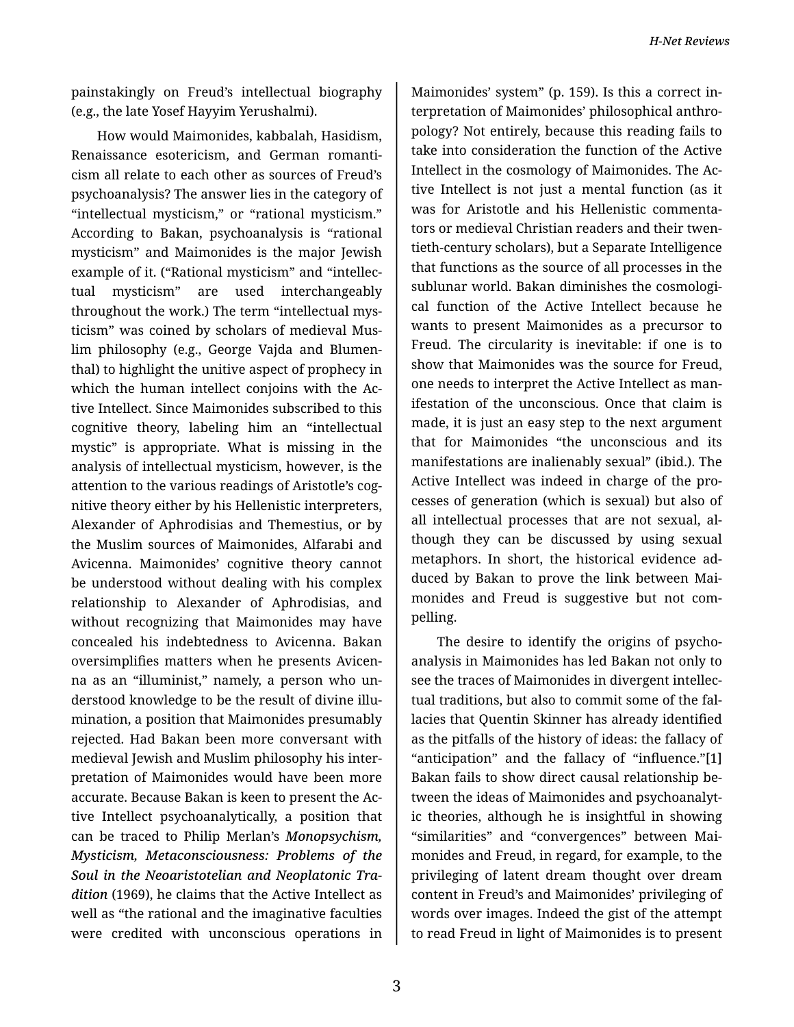painstakingly on Freud's intellectual biography (e.g., the late Yosef Hayyim Yerushalmi).

How would Maimonides, kabbalah, Hasidism, Renaissance esotericism, and German romanti‐ cism all relate to each other as sources of Freud's psychoanalysis? The answer lies in the category of "intellectual mysticism," or "rational mysticism." According to Bakan, psychoanalysis is "rational mysticism" and Maimonides is the major Jewish example of it. ("Rational mysticism" and "intellec‐ tual mysticism" are used interchangeably throughout the work.) The term "intellectual mys‐ ticism" was coined by scholars of medieval Mus‐ lim philosophy (e.g., George Vajda and Blumen‐ thal) to highlight the unitive aspect of prophecy in which the human intellect conjoins with the Active Intellect. Since Maimonides subscribed to this cognitive theory, labeling him an "intellectual mystic" is appropriate. What is missing in the analysis of intellectual mysticism, however, is the attention to the various readings of Aristotle's cog‐ nitive theory either by his Hellenistic interpreters, Alexander of Aphrodisias and Themestius, or by the Muslim sources of Maimonides, Alfarabi and Avicenna. Maimonides' cognitive theory cannot be understood without dealing with his complex relationship to Alexander of Aphrodisias, and without recognizing that Maimonides may have concealed his indebtedness to Avicenna. Bakan oversimplifies matters when he presents Avicen‐ na as an "illuminist," namely, a person who un‐ derstood knowledge to be the result of divine illu‐ mination, a position that Maimonides presumably rejected. Had Bakan been more conversant with medieval Jewish and Muslim philosophy his inter‐ pretation of Maimonides would have been more accurate. Because Bakan is keen to present the Ac‐ tive Intellect psychoanalytically, a position that can be traced to Philip Merlan's *Monopsychism, Mysticism, Metaconsciousness: Problems of the Soul in the Neoaristotelian and Neoplatonic Tra‐ dition* (1969), he claims that the Active Intellect as well as "the rational and the imaginative faculties were credited with unconscious operations in

Maimonides' system" (p. 159). Is this a correct in‐ terpretation of Maimonides' philosophical anthro‐ pology? Not entirely, because this reading fails to take into consideration the function of the Active Intellect in the cosmology of Maimonides. The Ac‐ tive Intellect is not just a mental function (as it was for Aristotle and his Hellenistic commenta‐ tors or medieval Christian readers and their twen‐ tieth-century scholars), but a Separate Intelligence that functions as the source of all processes in the sublunar world. Bakan diminishes the cosmologi‐ cal function of the Active Intellect because he wants to present Maimonides as a precursor to Freud. The circularity is inevitable: if one is to show that Maimonides was the source for Freud, one needs to interpret the Active Intellect as man‐ ifestation of the unconscious. Once that claim is made, it is just an easy step to the next argument that for Maimonides "the unconscious and its manifestations are inalienably sexual" (ibid.). The Active Intellect was indeed in charge of the pro‐ cesses of generation (which is sexual) but also of all intellectual processes that are not sexual, al‐ though they can be discussed by using sexual metaphors. In short, the historical evidence ad‐ duced by Bakan to prove the link between Mai‐ monides and Freud is suggestive but not com‐ pelling.

The desire to identify the origins of psycho‐ analysis in Maimonides has led Bakan not only to see the traces of Maimonides in divergent intellec‐ tual traditions, but also to commit some of the fal‐ lacies that Quentin Skinner has already identified as the pitfalls of the history of ideas: the fallacy of "anticipation" and the fallacy of "influence."[1] Bakan fails to show direct causal relationship be‐ tween the ideas of Maimonides and psychoanalyt‐ ic theories, although he is insightful in showing "similarities" and "convergences" between Mai‐ monides and Freud, in regard, for example, to the privileging of latent dream thought over dream content in Freud's and Maimonides' privileging of words over images. Indeed the gist of the attempt to read Freud in light of Maimonides is to present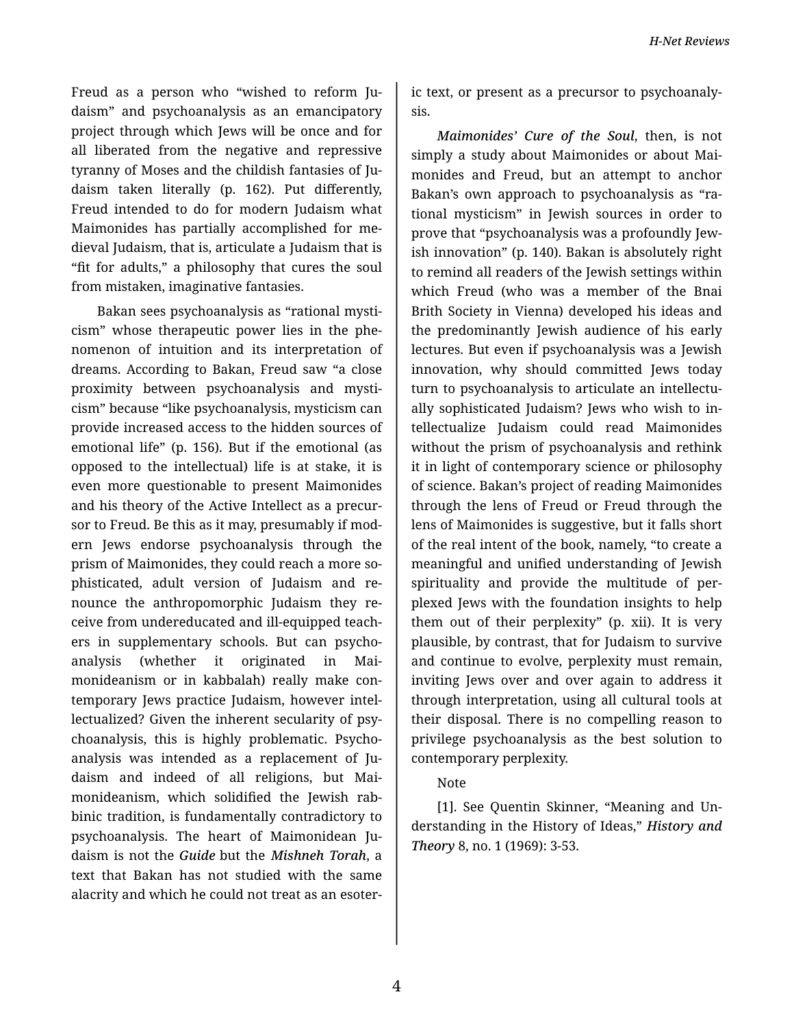Freud as a person who "wished to reform Ju‐ daism" and psychoanalysis as an emancipatory project through which Jews will be once and for all liberated from the negative and repressive tyranny of Moses and the childish fantasies of Ju‐ daism taken literally (p. 162). Put differently, Freud intended to do for modern Judaism what Maimonides has partially accomplished for me‐ dieval Judaism, that is, articulate a Judaism that is "fit for adults," a philosophy that cures the soul from mistaken, imaginative fantasies.

Bakan sees psychoanalysis as "rational mysti‐ cism" whose therapeutic power lies in the phe‐ nomenon of intuition and its interpretation of dreams. According to Bakan, Freud saw "a close proximity between psychoanalysis and mysti‐ cism" because "like psychoanalysis, mysticism can provide increased access to the hidden sources of emotional life" (p. 156). But if the emotional (as opposed to the intellectual) life is at stake, it is even more questionable to present Maimonides and his theory of the Active Intellect as a precur‐ sor to Freud. Be this as it may, presumably if mod‐ ern Jews endorse psychoanalysis through the prism of Maimonides, they could reach a more sophisticated, adult version of Judaism and re‐ nounce the anthropomorphic Judaism they re‐ ceive from undereducated and ill-equipped teach‐ ers in supplementary schools. But can psycho‐ analysis (whether it originated in Mai‐ monideanism or in kabbalah) really make con‐ temporary Jews practice Judaism, however intel‐ lectualized? Given the inherent secularity of psy‐ choanalysis, this is highly problematic. Psycho‐ analysis was intended as a replacement of Ju‐ daism and indeed of all religions, but Mai‐ monideanism, which solidified the Jewish rab‐ binic tradition, is fundamentally contradictory to psychoanalysis. The heart of Maimonidean Ju‐ daism is not the *Guide* but the *Mishneh Torah*, a text that Bakan has not studied with the same alacrity and which he could not treat as an esoter‐

ic text, or present as a precursor to psychoanaly‐ sis.

*Maimonides' Cure of the Soul*, then, is not simply a study about Maimonides or about Mai‐ monides and Freud, but an attempt to anchor Bakan's own approach to psychoanalysis as "ra‐ tional mysticism" in Jewish sources in order to prove that "psychoanalysis was a profoundly Jew‐ ish innovation" (p. 140). Bakan is absolutely right to remind all readers of the Jewish settings within which Freud (who was a member of the Bnai Brith Society in Vienna) developed his ideas and the predominantly Jewish audience of his early lectures. But even if psychoanalysis was a Jewish innovation, why should committed Jews today turn to psychoanalysis to articulate an intellectually sophisticated Judaism? Jews who wish to in‐ tellectualize Judaism could read Maimonides without the prism of psychoanalysis and rethink it in light of contemporary science or philosophy of science. Bakan's project of reading Maimonides through the lens of Freud or Freud through the lens of Maimonides is suggestive, but it falls short of the real intent of the book, namely, "to create a meaningful and unified understanding of Jewish spirituality and provide the multitude of per‐ plexed Jews with the foundation insights to help them out of their perplexity" (p. xii). It is very plausible, by contrast, that for Judaism to survive and continue to evolve, perplexity must remain, inviting Jews over and over again to address it through interpretation, using all cultural tools at their disposal. There is no compelling reason to privilege psychoanalysis as the best solution to contemporary perplexity.

## Note

[1]. See Quentin Skinner, "Meaning and Un‐ derstanding in the History of Ideas," *History and Theory* 8, no. 1 (1969): 3-53.